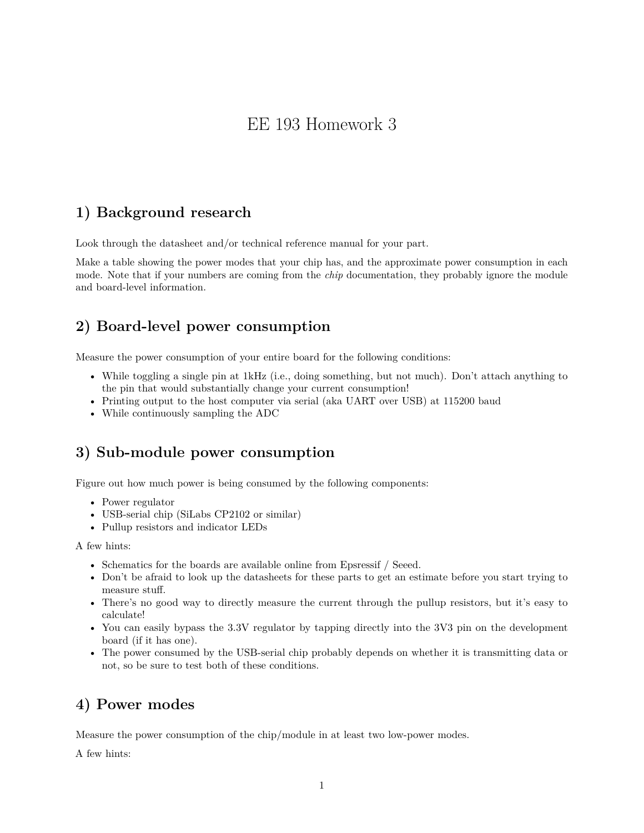# EE 193 Homework 3

## **1) Background research**

Look through the datasheet and/or technical reference manual for your part.

Make a table showing the power modes that your chip has, and the approximate power consumption in each mode. Note that if your numbers are coming from the *chip* documentation, they probably ignore the module and board-level information.

### **2) Board-level power consumption**

Measure the power consumption of your entire board for the following conditions:

- While toggling a single pin at 1kHz (i.e., doing something, but not much). Don't attach anything to the pin that would substantially change your current consumption!
- Printing output to the host computer via serial (aka UART over USB) at 115200 baud
- While continuously sampling the ADC

#### **3) Sub-module power consumption**

Figure out how much power is being consumed by the following components:

- Power regulator
- USB-serial chip (SiLabs CP2102 or similar)
- Pullup resistors and indicator LEDs

A few hints:

- Schematics for the boards are available online from Epsressif / Seeed.
- Don't be afraid to look up the datasheets for these parts to get an estimate before you start trying to measure stuff.
- There's no good way to directly measure the current through the pullup resistors, but it's easy to calculate!
- You can easily bypass the 3.3V regulator by tapping directly into the 3V3 pin on the development board (if it has one).
- The power consumed by the USB-serial chip probably depends on whether it is transmitting data or not, so be sure to test both of these conditions.

#### **4) Power modes**

Measure the power consumption of the chip/module in at least two low-power modes.

A few hints: